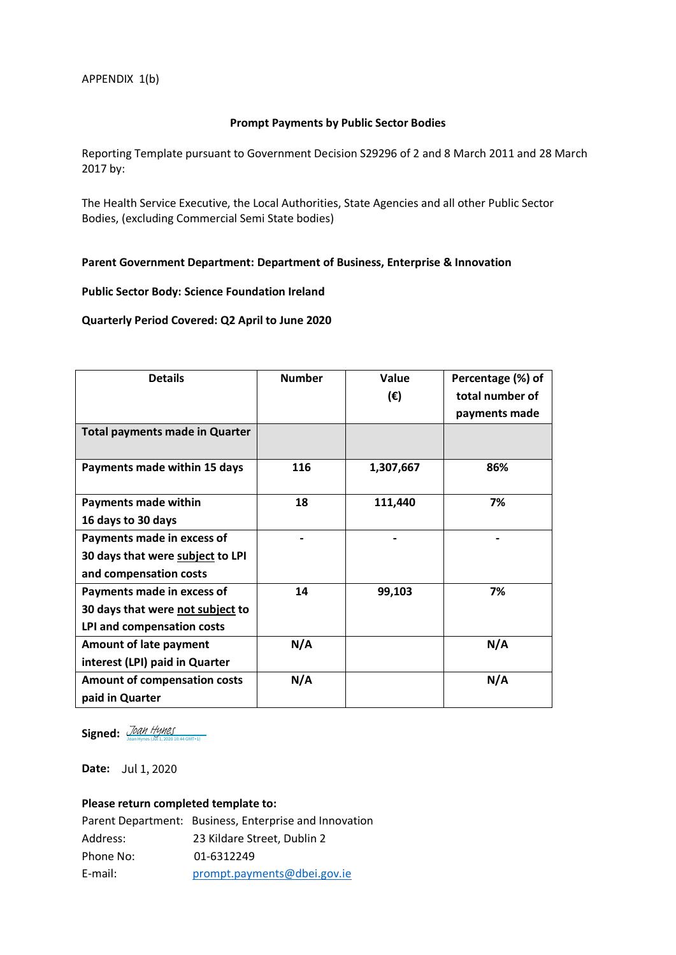## **Prompt Payments by Public Sector Bodies**

Reporting Template pursuant to Government Decision S29296 of 2 and 8 March 2011 and 28 March 2017 by:

The Health Service Executive, the Local Authorities, State Agencies and all other Public Sector Bodies, (excluding Commercial Semi State bodies)

# **Parent Government Department: Department of Business, Enterprise & Innovation**

#### **Public Sector Body: Science Foundation Ireland**

# **Quarterly Period Covered: Q2 April to June 2020**

| <b>Details</b>                        | <b>Number</b> | Value<br>(€) | Percentage (%) of<br>total number of<br>payments made |
|---------------------------------------|---------------|--------------|-------------------------------------------------------|
| <b>Total payments made in Quarter</b> |               |              |                                                       |
| Payments made within 15 days          | 116           | 1,307,667    | 86%                                                   |
| <b>Payments made within</b>           | 18            | 111,440      | 7%                                                    |
| 16 days to 30 days                    |               |              |                                                       |
| Payments made in excess of            |               |              |                                                       |
| 30 days that were subject to LPI      |               |              |                                                       |
| and compensation costs                |               |              |                                                       |
| Payments made in excess of            | 14            | 99,103       | 7%                                                    |
| 30 days that were not subject to      |               |              |                                                       |
| LPI and compensation costs            |               |              |                                                       |
| <b>Amount of late payment</b>         | N/A           |              | N/A                                                   |
| interest (LPI) paid in Quarter        |               |              |                                                       |
| <b>Amount of compensation costs</b>   | N/A           |              | N/A                                                   |
| paid in Quarter                       |               |              |                                                       |

Signed: *[Joan Hynes](https://eu1.documents.adobe.com/verifier?tx=CBJCHBCAABAAaT_6cknIi4EBn_VMT9edhLzFYDtCl00Z)* (Jul 1, 2020 10:44 GMT+1)

**Date:**  Jul 1, 2020

# **Please return completed template to:**

|           | Parent Department: Business, Enterprise and Innovation |
|-----------|--------------------------------------------------------|
| Address:  | 23 Kildare Street, Dublin 2                            |
| Phone No: | 01-6312249                                             |
| E-mail:   | prompt.payments@dbei.gov.ie                            |